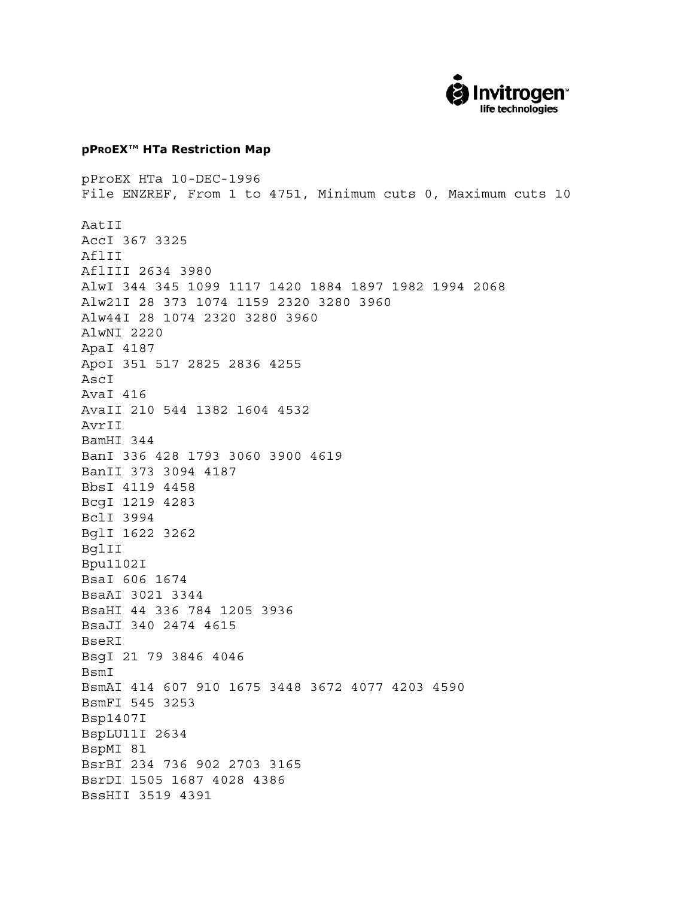

## **pPROEX<sup>™</sup> HTa Restriction Map**